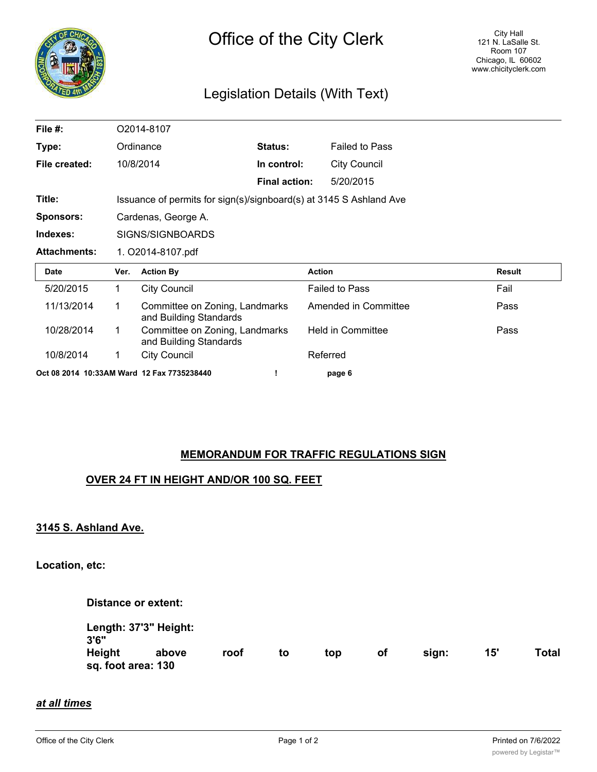

# Legislation Details (With Text)

| File #:             |                                                                    | O2014-8107                                               |                      |                          |        |  |  |  |  |  |
|---------------------|--------------------------------------------------------------------|----------------------------------------------------------|----------------------|--------------------------|--------|--|--|--|--|--|
| Type:               | Ordinance                                                          |                                                          | Status:              | <b>Failed to Pass</b>    |        |  |  |  |  |  |
| File created:       | 10/8/2014                                                          |                                                          | In control:          | <b>City Council</b>      |        |  |  |  |  |  |
|                     |                                                                    |                                                          | <b>Final action:</b> | 5/20/2015                |        |  |  |  |  |  |
| Title:              | Issuance of permits for sign(s)/signboard(s) at 3145 S Ashland Ave |                                                          |                      |                          |        |  |  |  |  |  |
| <b>Sponsors:</b>    | Cardenas, George A.                                                |                                                          |                      |                          |        |  |  |  |  |  |
| Indexes:            | SIGNS/SIGNBOARDS                                                   |                                                          |                      |                          |        |  |  |  |  |  |
|                     | 1. O2014-8107.pdf                                                  |                                                          |                      |                          |        |  |  |  |  |  |
| <b>Attachments:</b> |                                                                    |                                                          |                      |                          |        |  |  |  |  |  |
| <b>Date</b>         | Ver.                                                               | <b>Action By</b>                                         |                      | <b>Action</b>            | Result |  |  |  |  |  |
| 5/20/2015           | $\mathbf{1}$                                                       | <b>City Council</b>                                      |                      | <b>Failed to Pass</b>    | Fail   |  |  |  |  |  |
| 11/13/2014          | 1                                                                  | Committee on Zoning, Landmarks<br>and Building Standards |                      | Amended in Committee     | Pass   |  |  |  |  |  |
| 10/28/2014          | $\mathbf 1$                                                        | Committee on Zoning, Landmarks<br>and Building Standards |                      | <b>Held in Committee</b> | Pass   |  |  |  |  |  |
| 10/8/2014           | 1                                                                  | <b>City Council</b>                                      |                      | Referred                 |        |  |  |  |  |  |

## **MEMORANDUM FOR TRAFFIC REGULATIONS SIGN**

## **OVER 24 FT IN HEIGHT AND/OR 100 SQ. FEET**

### **3145 S. Ashland Ave.**

**Location, etc:**

**Distance or extent:**

| Length: 37'3" Height:<br>3'6" |       |      |    |     |    |       |     |       |  |
|-------------------------------|-------|------|----|-----|----|-------|-----|-------|--|
| Height<br>sq. foot area: 130  | above | roof | to | top | оt | sian: | 15' | Total |  |

#### *at all times*